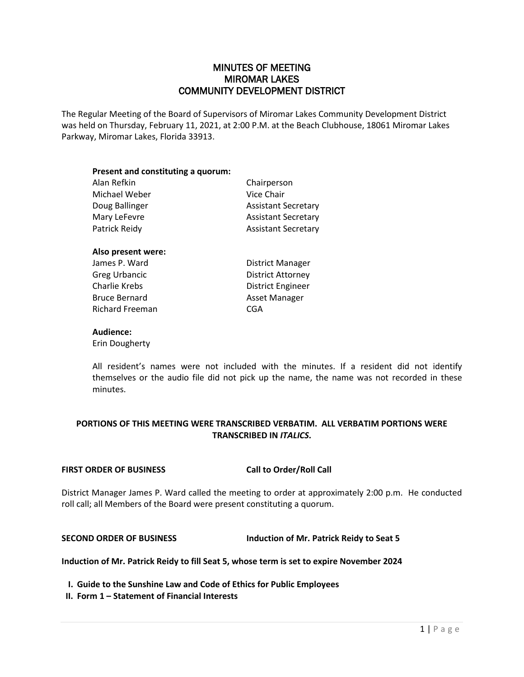# MINUTES OF MEETING MIROMAR LAKES COMMUNITY DEVELOPMENT DISTRICT

The Regular Meeting of the Board of Supervisors of Miromar Lakes Community Development District was held on Thursday, February 11, 2021, at 2:00 P.M. at the Beach Clubhouse, 18061 Miromar Lakes Parkway, Miromar Lakes, Florida 33913.

| Present and constituting a quorum: |                            |
|------------------------------------|----------------------------|
| Alan Refkin                        | Chairperson                |
| Michael Weber                      | Vice Chair                 |
| Doug Ballinger                     | <b>Assistant Secretary</b> |
| Mary LeFevre                       | <b>Assistant Secretary</b> |
| Patrick Reidy                      | <b>Assistant Secretary</b> |
| Also present were:                 |                            |
| James P. Ward                      | <b>District Manager</b>    |
| $C$ rog Urbonoic                   | Dichtest AtA               |

| Greg Urbancic        | Disti |
|----------------------|-------|
| Charlie Krebs        | Disti |
| <b>Bruce Bernard</b> | Asse  |
| Richard Freeman      | CGA   |

District Attorney District Engineer Asset Manager

### **Audience:**

Erin Dougherty

All resident's names were not included with the minutes. If a resident did not identify themselves or the audio file did not pick up the name, the name was not recorded in these minutes.

# **PORTIONS OF THIS MEETING WERE TRANSCRIBED VERBATIM. ALL VERBATIM PORTIONS WERE TRANSCRIBED IN** *ITALICS***.**

## **FIRST ORDER OF BUSINESS Call to Order/Roll Call**

District Manager James P. Ward called the meeting to order at approximately 2:00 p.m. He conducted roll call; all Members of the Board were present constituting a quorum.

# **SECOND ORDER OF BUSINESS Induction of Mr. Patrick Reidy to Seat 5**

**Induction of Mr. Patrick Reidy to fill Seat 5, whose term is set to expire November 2024**

**I. Guide to the Sunshine Law and Code of Ethics for Public Employees**

**II. Form 1 – Statement of Financial Interests**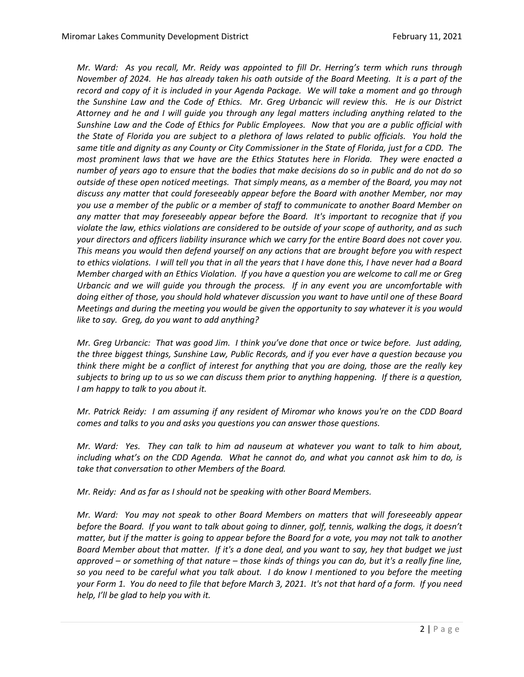*Mr. Ward: As you recall, Mr. Reidy was appointed to fill Dr. Herring's term which runs through November of 2024. He has already taken his oath outside of the Board Meeting. It is a part of the record and copy of it is included in your Agenda Package. We will take a moment and go through the Sunshine Law and the Code of Ethics. Mr. Greg Urbancic will review this. He is our District Attorney and he and I will guide you through any legal matters including anything related to the Sunshine Law and the Code of Ethics for Public Employees. Now that you are a public official with the State of Florida you are subject to a plethora of laws related to public officials. You hold the same title and dignity as any County or City Commissioner in the State of Florida, just for a CDD. The most prominent laws that we have are the Ethics Statutes here in Florida. They were enacted a number of years ago to ensure that the bodies that make decisions do so in public and do not do so outside of these open noticed meetings. That simply means, as a member of the Board, you may not discuss any matter that could foreseeably appear before the Board with another Member, nor may you use a member of the public or a member of staff to communicate to another Board Member on any matter that may foreseeably appear before the Board. It's important to recognize that if you violate the law, ethics violations are considered to be outside of your scope of authority, and as such your directors and officers liability insurance which we carry for the entire Board does not cover you. This means you would then defend yourself on any actions that are brought before you with respect to ethics violations. I will tell you that in all the years that I have done this, I have never had a Board Member charged with an Ethics Violation. If you have a question you are welcome to call me or Greg Urbancic and we will guide you through the process. If in any event you are uncomfortable with doing either of those, you should hold whatever discussion you want to have until one of these Board Meetings and during the meeting you would be given the opportunity to say whatever it is you would like to say. Greg, do you want to add anything?*

*Mr. Greg Urbancic: That was good Jim. I think you've done that once or twice before. Just adding, the three biggest things, Sunshine Law, Public Records, and if you ever have a question because you think there might be a conflict of interest for anything that you are doing, those are the really key subjects to bring up to us so we can discuss them prior to anything happening. If there is a question, I am happy to talk to you about it.* 

*Mr. Patrick Reidy: I am assuming if any resident of Miromar who knows you're on the CDD Board comes and talks to you and asks you questions you can answer those questions.* 

*Mr. Ward: Yes. They can talk to him ad nauseum at whatever you want to talk to him about, including what's on the CDD Agenda. What he cannot do, and what you cannot ask him to do, is take that conversation to other Members of the Board.* 

*Mr. Reidy: And as far as I should not be speaking with other Board Members.*

*Mr. Ward: You may not speak to other Board Members on matters that will foreseeably appear before the Board. If you want to talk about going to dinner, golf, tennis, walking the dogs, it doesn't matter, but if the matter is going to appear before the Board for a vote, you may not talk to another Board Member about that matter. If it's a done deal, and you want to say, hey that budget we just approved – or something of that nature – those kinds of things you can do, but it's a really fine line, so you need to be careful what you talk about. I do know I mentioned to you before the meeting your Form 1. You do need to file that before March 3, 2021. It's not that hard of a form. If you need help, I'll be glad to help you with it.*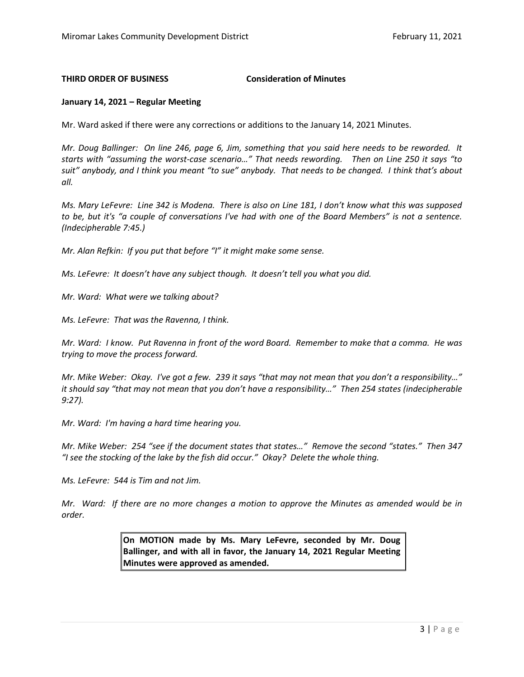#### **THIRD ORDER OF BUSINESS Consideration of Minutes**

#### **January 14, 2021 – Regular Meeting**

Mr. Ward asked if there were any corrections or additions to the January 14, 2021 Minutes.

*Mr. Doug Ballinger: On line 246, page 6, Jim, something that you said here needs to be reworded. It starts with "assuming the worst-case scenario…" That needs rewording. Then on Line 250 it says "to suit" anybody, and I think you meant "to sue" anybody. That needs to be changed. I think that's about all.*

*Ms. Mary LeFevre: Line 342 is Modena. There is also on Line 181, I don't know what this was supposed to be, but it's "a couple of conversations I've had with one of the Board Members" is not a sentence. (Indecipherable 7:45.)*

*Mr. Alan Refkin: If you put that before "I" it might make some sense.* 

*Ms. LeFevre: It doesn't have any subject though. It doesn't tell you what you did.* 

*Mr. Ward: What were we talking about?*

*Ms. LeFevre: That was the Ravenna, I think.* 

*Mr. Ward: I know. Put Ravenna in front of the word Board. Remember to make that a comma. He was trying to move the process forward.* 

*Mr. Mike Weber: Okay. I've got a few. 239 it says "that may not mean that you don't a responsibility…" it should say "that may not mean that you don't have a responsibility…" Then 254 states (indecipherable 9:27).* 

*Mr. Ward: I'm having a hard time hearing you.* 

*Mr. Mike Weber: 254 "see if the document states that states…" Remove the second "states." Then 347 "I see the stocking of the lake by the fish did occur." Okay? Delete the whole thing.* 

*Ms. LeFevre: 544 is Tim and not Jim.* 

*Mr. Ward: If there are no more changes a motion to approve the Minutes as amended would be in order.* 

> **On MOTION made by Ms. Mary LeFevre, seconded by Mr. Doug Ballinger, and with all in favor, the January 14, 2021 Regular Meeting Minutes were approved as amended.**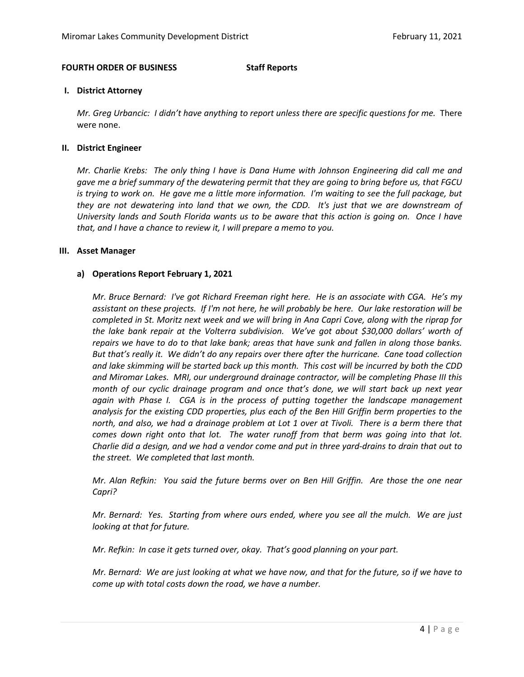### **FOURTH ORDER OF BUSINESS Staff Reports**

#### **I. District Attorney**

*Mr. Greg Urbancic: I didn't have anything to report unless there are specific questions for me.* There were none.

#### **II. District Engineer**

*Mr. Charlie Krebs: The only thing I have is Dana Hume with Johnson Engineering did call me and gave me a brief summary of the dewatering permit that they are going to bring before us, that FGCU is trying to work on. He gave me a little more information. I'm waiting to see the full package, but they are not dewatering into land that we own, the CDD. It's just that we are downstream of University lands and South Florida wants us to be aware that this action is going on. Once I have that, and I have a chance to review it, I will prepare a memo to you.* 

#### **III. Asset Manager**

### **a) Operations Report February 1, 2021**

*Mr. Bruce Bernard: I've got Richard Freeman right here. He is an associate with CGA. He's my assistant on these projects. If I'm not here, he will probably be here. Our lake restoration will be completed in St. Moritz next week and we will bring in Ana Capri Cove, along with the riprap for the lake bank repair at the Volterra subdivision. We've got about \$30,000 dollars' worth of repairs we have to do to that lake bank; areas that have sunk and fallen in along those banks. But that's really it. We didn't do any repairs over there after the hurricane. Cane toad collection and lake skimming will be started back up this month. This cost will be incurred by both the CDD and Miromar Lakes. MRI, our underground drainage contractor, will be completing Phase III this month of our cyclic drainage program and once that's done, we will start back up next year again with Phase I. CGA is in the process of putting together the landscape management analysis for the existing CDD properties, plus each of the Ben Hill Griffin berm properties to the*  north, and also, we had a drainage problem at Lot 1 over at Tivoli. There is a berm there that *comes down right onto that lot. The water runoff from that berm was going into that lot. Charlie did a design, and we had a vendor come and put in three yard-drains to drain that out to the street. We completed that last month.* 

*Mr. Alan Refkin: You said the future berms over on Ben Hill Griffin. Are those the one near Capri?*

*Mr. Bernard: Yes. Starting from where ours ended, where you see all the mulch. We are just looking at that for future.* 

*Mr. Refkin: In case it gets turned over, okay. That's good planning on your part.* 

*Mr. Bernard: We are just looking at what we have now, and that for the future, so if we have to come up with total costs down the road, we have a number.*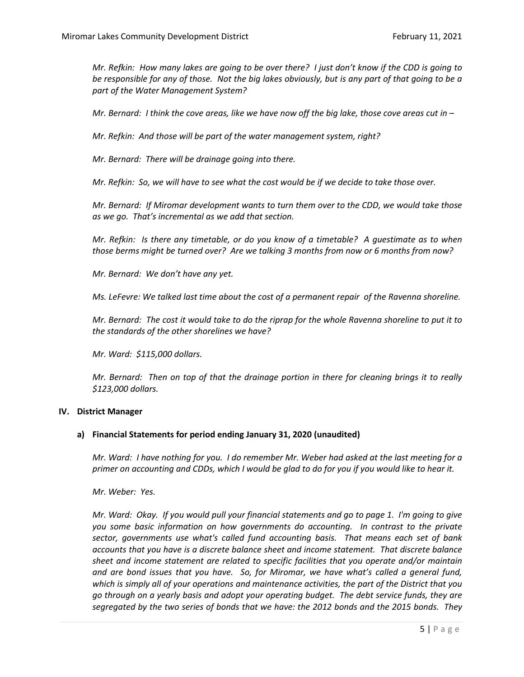*Mr. Refkin: How many lakes are going to be over there? I just don't know if the CDD is going to be responsible for any of those. Not the big lakes obviously, but is any part of that going to be a part of the Water Management System?* 

*Mr. Bernard: I think the cove areas, like we have now off the big lake, those cove areas cut in –*

*Mr. Refkin: And those will be part of the water management system, right?*

*Mr. Bernard: There will be drainage going into there.* 

*Mr. Refkin: So, we will have to see what the cost would be if we decide to take those over.* 

*Mr. Bernard: If Miromar development wants to turn them over to the CDD, we would take those as we go. That's incremental as we add that section.* 

*Mr. Refkin: Is there any timetable, or do you know of a timetable? A guestimate as to when those berms might be turned over? Are we talking 3 months from now or 6 months from now?* 

*Mr. Bernard: We don't have any yet.* 

*Ms. LeFevre: We talked last time about the cost of a permanent repair of the Ravenna shoreline.* 

*Mr. Bernard: The cost it would take to do the riprap for the whole Ravenna shoreline to put it to the standards of the other shorelines we have?*

*Mr. Ward: \$115,000 dollars.* 

*Mr. Bernard: Then on top of that the drainage portion in there for cleaning brings it to really \$123,000 dollars.* 

#### **IV. District Manager**

#### **a) Financial Statements for period ending January 31, 2020 (unaudited)**

*Mr. Ward: I have nothing for you. I do remember Mr. Weber had asked at the last meeting for a primer on accounting and CDDs, which I would be glad to do for you if you would like to hear it.* 

*Mr. Weber: Yes.* 

*Mr. Ward: Okay. If you would pull your financial statements and go to page 1. I'm going to give you some basic information on how governments do accounting. In contrast to the private sector, governments use what's called fund accounting basis. That means each set of bank accounts that you have is a discrete balance sheet and income statement. That discrete balance sheet and income statement are related to specific facilities that you operate and/or maintain and are bond issues that you have. So, for Miromar, we have what's called a general fund, which is simply all of your operations and maintenance activities, the part of the District that you go through on a yearly basis and adopt your operating budget. The debt service funds, they are segregated by the two series of bonds that we have: the 2012 bonds and the 2015 bonds. They*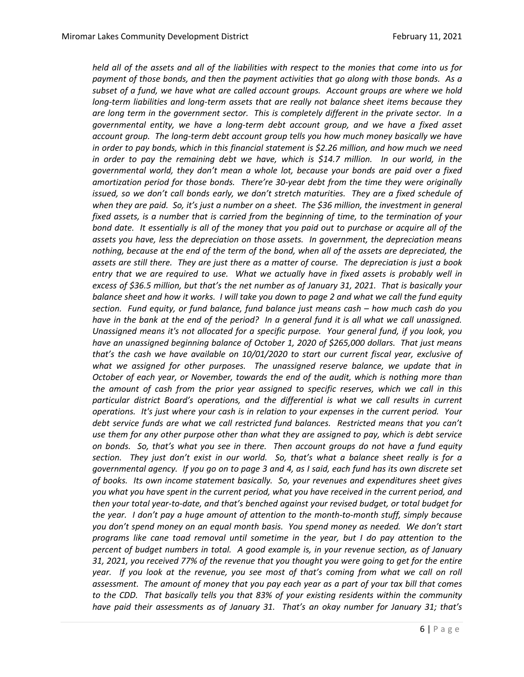*held all of the assets and all of the liabilities with respect to the monies that come into us for payment of those bonds, and then the payment activities that go along with those bonds. As a subset of a fund, we have what are called account groups. Account groups are where we hold long-term liabilities and long-term assets that are really not balance sheet items because they are long term in the government sector. This is completely different in the private sector. In a governmental entity, we have a long-term debt account group, and we have a fixed asset account group. The long-term debt account group tells you how much money basically we have in order to pay bonds, which in this financial statement is \$2.26 million, and how much we need*  in order to pay the remaining debt we have, which is \$14.7 million. In our world, in the *governmental world, they don't mean a whole lot, because your bonds are paid over a fixed amortization period for those bonds. There're 30-year debt from the time they were originally issued, so we don't call bonds early, we don't stretch maturities. They are a fixed schedule of*  when they are paid. So, it's just a number on a sheet. The \$36 million, the investment in general *fixed assets, is a number that is carried from the beginning of time, to the termination of your bond date. It essentially is all of the money that you paid out to purchase or acquire all of the assets you have, less the depreciation on those assets. In government, the depreciation means nothing, because at the end of the term of the bond, when all of the assets are depreciated, the assets are still there. They are just there as a matter of course. The depreciation is just a book entry that we are required to use. What we actually have in fixed assets is probably well in excess of \$36.5 million, but that's the net number as of January 31, 2021. That is basically your balance sheet and how it works. I will take you down to page 2 and what we call the fund equity section. Fund equity, or fund balance, fund balance just means cash – how much cash do you have in the bank at the end of the period? In a general fund it is all what we call unassigned. Unassigned means it's not allocated for a specific purpose. Your general fund, if you look, you have an unassigned beginning balance of October 1, 2020 of \$265,000 dollars. That just means that's the cash we have available on 10/01/2020 to start our current fiscal year, exclusive of what we assigned for other purposes. The unassigned reserve balance, we update that in October of each year, or November, towards the end of the audit, which is nothing more than the amount of cash from the prior year assigned to specific reserves, which we call in this particular district Board's operations, and the differential is what we call results in current operations. It's just where your cash is in relation to your expenses in the current period. Your debt service funds are what we call restricted fund balances. Restricted means that you can't use them for any other purpose other than what they are assigned to pay, which is debt service on bonds. So, that's what you see in there. Then account groups do not have a fund equity section. They just don't exist in our world. So, that's what a balance sheet really is for a governmental agency. If you go on to page 3 and 4, as I said, each fund has its own discrete set of books. Its own income statement basically. So, your revenues and expenditures sheet gives you what you have spent in the current period, what you have received in the current period, and then your total year-to-date, and that's benched against your revised budget, or total budget for the year. I don't pay a huge amount of attention to the month-to-month stuff, simply because you don't spend money on an equal month basis. You spend money as needed. We don't start programs like cane toad removal until sometime in the year, but I do pay attention to the percent of budget numbers in total. A good example is, in your revenue section, as of January 31, 2021, you received 77% of the revenue that you thought you were going to get for the entire year. If you look at the revenue, you see most of that's coming from what we call on roll assessment. The amount of money that you pay each year as a part of your tax bill that comes to the CDD. That basically tells you that 83% of your existing residents within the community have paid their assessments as of January 31. That's an okay number for January 31; that's*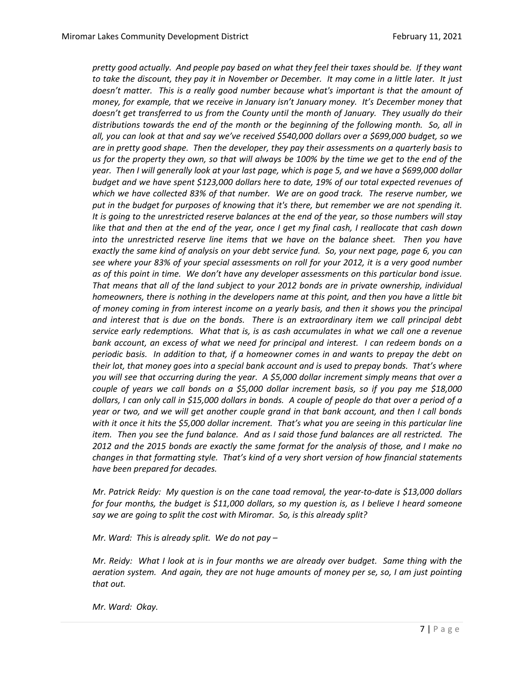*pretty good actually. And people pay based on what they feel their taxes should be. If they want to take the discount, they pay it in November or December. It may come in a little later. It just*  doesn't matter. This is a really good number because what's important is that the amount of *money, for example, that we receive in January isn't January money. It's December money that doesn't get transferred to us from the County until the month of January. They usually do their distributions towards the end of the month or the beginning of the following month. So, all in all, you can look at that and say we've received \$540,000 dollars over a \$699,000 budget, so we are in pretty good shape. Then the developer, they pay their assessments on a quarterly basis to us for the property they own, so that will always be 100% by the time we get to the end of the year. Then I will generally look at your last page, which is page 5, and we have a \$699,000 dollar budget and we have spent \$123,000 dollars here to date, 19% of our total expected revenues of which we have collected 83% of that number. We are on good track. The reserve number, we put in the budget for purposes of knowing that it's there, but remember we are not spending it. It is going to the unrestricted reserve balances at the end of the year, so those numbers will stay like that and then at the end of the year, once I get my final cash, I reallocate that cash down into the unrestricted reserve line items that we have on the balance sheet. Then you have exactly the same kind of analysis on your debt service fund. So, your next page, page 6, you can see where your 83% of your special assessments on roll for your 2012, it is a very good number as of this point in time. We don't have any developer assessments on this particular bond issue. That means that all of the land subject to your 2012 bonds are in private ownership, individual homeowners, there is nothing in the developers name at this point, and then you have a little bit of money coming in from interest income on a yearly basis, and then it shows you the principal and interest that is due on the bonds. There is an extraordinary item we call principal debt service early redemptions. What that is, is as cash accumulates in what we call one a revenue bank account, an excess of what we need for principal and interest. I can redeem bonds on a periodic basis. In addition to that, if a homeowner comes in and wants to prepay the debt on their lot, that money goes into a special bank account and is used to prepay bonds. That's where you will see that occurring during the year. A \$5,000 dollar increment simply means that over a couple of years we call bonds on a \$5,000 dollar increment basis, so if you pay me \$18,000 dollars, I can only call in \$15,000 dollars in bonds. A couple of people do that over a period of a year or two, and we will get another couple grand in that bank account, and then I call bonds with it once it hits the \$5,000 dollar increment. That's what you are seeing in this particular line item. Then you see the fund balance. And as I said those fund balances are all restricted. The 2012 and the 2015 bonds are exactly the same format for the analysis of those, and I make no changes in that formatting style. That's kind of a very short version of how financial statements have been prepared for decades.* 

*Mr. Patrick Reidy: My question is on the cane toad removal, the year-to-date is \$13,000 dollars for four months, the budget is \$11,000 dollars, so my question is, as I believe I heard someone say we are going to split the cost with Miromar. So, is this already split?* 

*Mr. Ward: This is already split. We do not pay –*

*Mr. Reidy: What I look at is in four months we are already over budget. Same thing with the aeration system. And again, they are not huge amounts of money per se, so, I am just pointing that out.* 

*Mr. Ward: Okay.*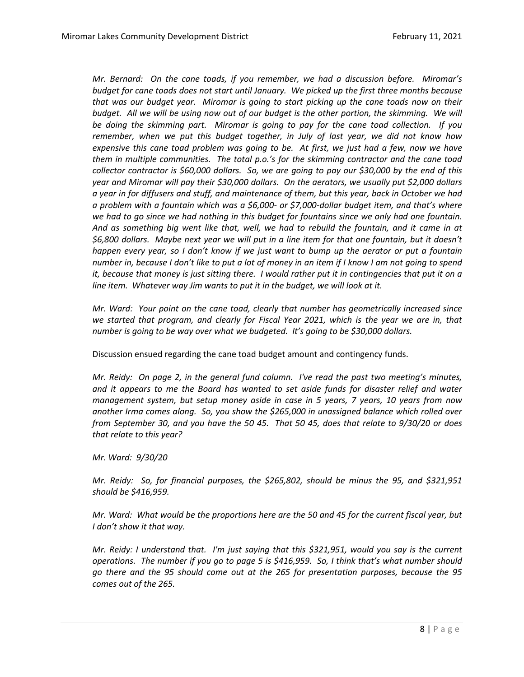*Mr. Bernard: On the cane toads, if you remember, we had a discussion before. Miromar's budget for cane toads does not start until January. We picked up the first three months because that was our budget year. Miromar is going to start picking up the cane toads now on their*  budget. All we will be using now out of our budget is the other portion, the skimming. We will *be doing the skimming part. Miromar is going to pay for the cane toad collection. If you remember, when we put this budget together, in July of last year, we did not know how expensive this cane toad problem was going to be. At first, we just had a few, now we have them in multiple communities. The total p.o.'s for the skimming contractor and the cane toad collector contractor is \$60,000 dollars. So, we are going to pay our \$30,000 by the end of this year and Miromar will pay their \$30,000 dollars. On the aerators, we usually put \$2,000 dollars a year in for diffusers and stuff, and maintenance of them, but this year, back in October we had a problem with a fountain which was a \$6,000- or \$7,000-dollar budget item, and that's where we had to go since we had nothing in this budget for fountains since we only had one fountain. And as something big went like that, well, we had to rebuild the fountain, and it came in at \$6,800 dollars. Maybe next year we will put in a line item for that one fountain, but it doesn't happen every year, so I don't know if we just want to bump up the aerator or put a fountain number in, because I don't like to put a lot of money in an item if I know I am not going to spend it, because that money is just sitting there. I would rather put it in contingencies that put it on a line item. Whatever way Jim wants to put it in the budget, we will look at it.* 

*Mr. Ward: Your point on the cane toad, clearly that number has geometrically increased since*  we started that program, and clearly for Fiscal Year 2021, which is the year we are in, that *number is going to be way over what we budgeted. It's going to be \$30,000 dollars.* 

Discussion ensued regarding the cane toad budget amount and contingency funds.

*Mr. Reidy: On page 2, in the general fund column. I've read the past two meeting's minutes, and it appears to me the Board has wanted to set aside funds for disaster relief and water management system, but setup money aside in case in 5 years, 7 years, 10 years from now another Irma comes along. So, you show the \$265,000 in unassigned balance which rolled over from September 30, and you have the 50 45. That 50 45, does that relate to 9/30/20 or does that relate to this year?* 

*Mr. Ward: 9/30/20*

*Mr. Reidy: So, for financial purposes, the \$265,802, should be minus the 95, and \$321,951 should be \$416,959.* 

*Mr. Ward: What would be the proportions here are the 50 and 45 for the current fiscal year, but I don't show it that way.* 

*Mr. Reidy: I understand that. I'm just saying that this \$321,951, would you say is the current operations. The number if you go to page 5 is \$416,959. So, I think that's what number should go there and the 95 should come out at the 265 for presentation purposes, because the 95 comes out of the 265.*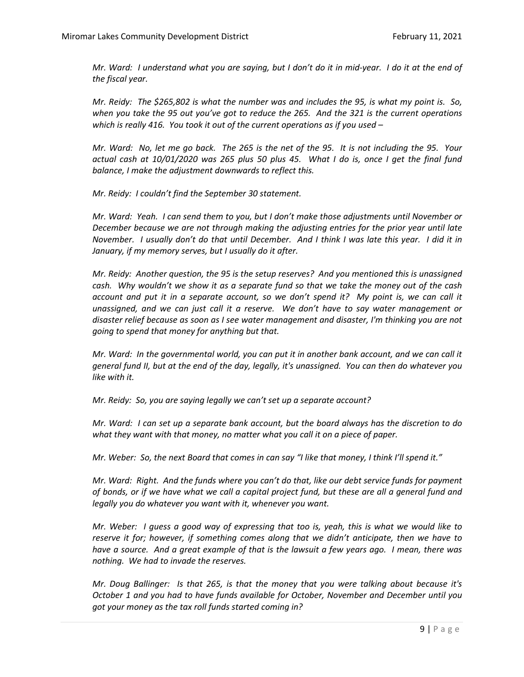*Mr. Ward: I understand what you are saying, but I don't do it in mid-year. I do it at the end of the fiscal year.* 

*Mr. Reidy: The \$265,802 is what the number was and includes the 95, is what my point is. So, when you take the 95 out you've got to reduce the 265. And the 321 is the current operations which is really 416. You took it out of the current operations as if you used –*

*Mr. Ward: No, let me go back. The 265 is the net of the 95. It is not including the 95. Your actual cash at 10/01/2020 was 265 plus 50 plus 45. What I do is, once I get the final fund balance, I make the adjustment downwards to reflect this.* 

*Mr. Reidy: I couldn't find the September 30 statement.* 

*Mr. Ward: Yeah. I can send them to you, but I don't make those adjustments until November or December because we are not through making the adjusting entries for the prior year until late November. I usually don't do that until December. And I think I was late this year. I did it in January, if my memory serves, but I usually do it after.* 

*Mr. Reidy: Another question, the 95 is the setup reserves? And you mentioned this is unassigned cash. Why wouldn't we show it as a separate fund so that we take the money out of the cash account and put it in a separate account, so we don't spend it? My point is, we can call it unassigned, and we can just call it a reserve. We don't have to say water management or disaster relief because as soon as I see water management and disaster, I'm thinking you are not going to spend that money for anything but that.* 

*Mr. Ward: In the governmental world, you can put it in another bank account, and we can call it general fund II, but at the end of the day, legally, it's unassigned. You can then do whatever you like with it.* 

*Mr. Reidy: So, you are saying legally we can't set up a separate account?* 

*Mr. Ward: I can set up a separate bank account, but the board always has the discretion to do what they want with that money, no matter what you call it on a piece of paper.* 

*Mr. Weber: So, the next Board that comes in can say "I like that money, I think I'll spend it."*

*Mr. Ward: Right. And the funds where you can't do that, like our debt service funds for payment of bonds, or if we have what we call a capital project fund, but these are all a general fund and legally you do whatever you want with it, whenever you want.* 

*Mr. Weber: I guess a good way of expressing that too is, yeah, this is what we would like to reserve it for; however, if something comes along that we didn't anticipate, then we have to have a source. And a great example of that is the lawsuit a few years ago. I mean, there was nothing. We had to invade the reserves.* 

*Mr. Doug Ballinger: Is that 265, is that the money that you were talking about because it's October 1 and you had to have funds available for October, November and December until you got your money as the tax roll funds started coming in?*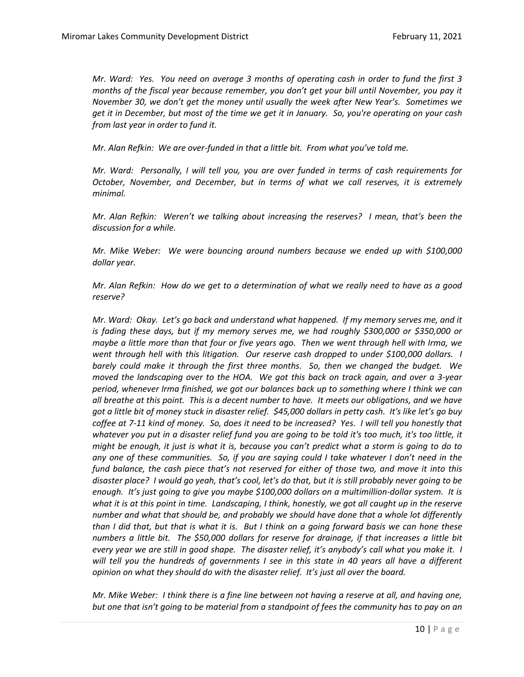*Mr. Ward: Yes. You need on average 3 months of operating cash in order to fund the first 3 months of the fiscal year because remember, you don't get your bill until November, you pay it November 30, we don't get the money until usually the week after New Year's. Sometimes we get it in December, but most of the time we get it in January. So, you're operating on your cash from last year in order to fund it.* 

*Mr. Alan Refkin: We are over-funded in that a little bit. From what you've told me.* 

*Mr. Ward: Personally, I will tell you, you are over funded in terms of cash requirements for October, November, and December, but in terms of what we call reserves, it is extremely minimal.* 

*Mr. Alan Refkin: Weren't we talking about increasing the reserves? I mean, that's been the discussion for a while.*

*Mr. Mike Weber: We were bouncing around numbers because we ended up with \$100,000 dollar year.* 

*Mr. Alan Refkin: How do we get to a determination of what we really need to have as a good reserve?*

*Mr. Ward: Okay. Let's go back and understand what happened. If my memory serves me, and it is fading these days, but if my memory serves me, we had roughly \$300,000 or \$350,000 or maybe a little more than that four or five years ago. Then we went through hell with Irma, we went through hell with this litigation. Our reserve cash dropped to under \$100,000 dollars. I barely could make it through the first three months. So, then we changed the budget. We moved the landscaping over to the HOA. We got this back on track again, and over a 3-year period, whenever Irma finished, we got our balances back up to something where I think we can all breathe at this point. This is a decent number to have. It meets our obligations, and we have got a little bit of money stuck in disaster relief. \$45,000 dollars in petty cash. It's like let's go buy coffee at 7-11 kind of money. So, does it need to be increased? Yes. I will tell you honestly that whatever you put in a disaster relief fund you are going to be told it's too much, it's too little, it might be enough, it just is what it is, because you can't predict what a storm is going to do to any one of these communities. So, if you are saying could I take whatever I don't need in the fund balance, the cash piece that's not reserved for either of those two, and move it into this disaster place? I would go yeah, that's cool, let's do that, but it is still probably never going to be enough. It's just going to give you maybe \$100,000 dollars on a multimillion-dollar system. It is what it is at this point in time. Landscaping, I think, honestly, we got all caught up in the reserve number and what that should be, and probably we should have done that a whole lot differently than I did that, but that is what it is. But I think on a going forward basis we can hone these numbers a little bit. The \$50,000 dollars for reserve for drainage, if that increases a little bit every year we are still in good shape. The disaster relief, it's anybody's call what you make it. I will tell you the hundreds of governments I see in this state in 40 years all have a different opinion on what they should do with the disaster relief. It's just all over the board.* 

*Mr. Mike Weber: I think there is a fine line between not having a reserve at all, and having one, but one that isn't going to be material from a standpoint of fees the community has to pay on an*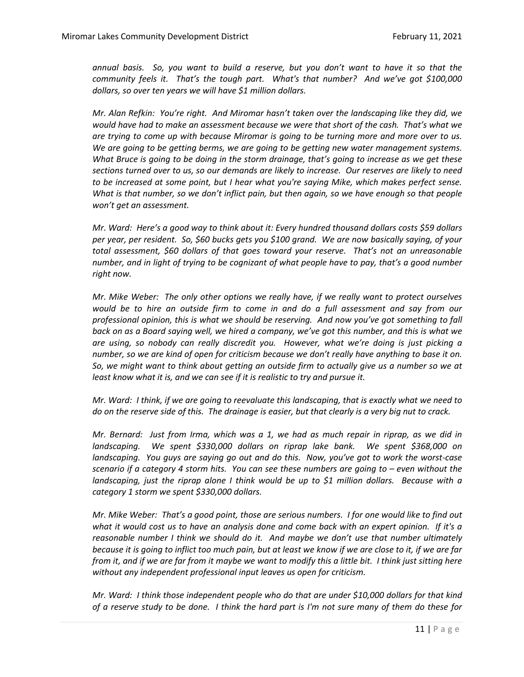*annual basis. So, you want to build a reserve, but you don't want to have it so that the community feels it. That's the tough part. What's that number? And we've got \$100,000 dollars, so over ten years we will have \$1 million dollars.* 

*Mr. Alan Refkin: You're right. And Miromar hasn't taken over the landscaping like they did, we would have had to make an assessment because we were that short of the cash. That's what we are trying to come up with because Miromar is going to be turning more and more over to us. We are going to be getting berms, we are going to be getting new water management systems. What Bruce is going to be doing in the storm drainage, that's going to increase as we get these sections turned over to us, so our demands are likely to increase. Our reserves are likely to need to be increased at some point, but I hear what you're saying Mike, which makes perfect sense. What is that number, so we don't inflict pain, but then again, so we have enough so that people won't get an assessment.* 

*Mr. Ward: Here's a good way to think about it: Every hundred thousand dollars costs \$59 dollars per year, per resident. So, \$60 bucks gets you \$100 grand. We are now basically saying, of your total assessment, \$60 dollars of that goes toward your reserve. That's not an unreasonable number, and in light of trying to be cognizant of what people have to pay, that's a good number right now.* 

*Mr. Mike Weber: The only other options we really have, if we really want to protect ourselves would be to hire an outside firm to come in and do a full assessment and say from our professional opinion, this is what we should be reserving. And now you've got something to fall back on as a Board saying well, we hired a company, we've got this number, and this is what we are using, so nobody can really discredit you. However, what we're doing is just picking a number, so we are kind of open for criticism because we don't really have anything to base it on. So, we might want to think about getting an outside firm to actually give us a number so we at least know what it is, and we can see if it is realistic to try and pursue it.* 

*Mr. Ward: I think, if we are going to reevaluate this landscaping, that is exactly what we need to do on the reserve side of this. The drainage is easier, but that clearly is a very big nut to crack.* 

*Mr. Bernard: Just from Irma, which was a 1, we had as much repair in riprap, as we did in landscaping. We spent \$330,000 dollars on riprap lake bank. We spent \$368,000 on landscaping. You guys are saying go out and do this. Now, you've got to work the worst-case scenario if a category 4 storm hits. You can see these numbers are going to – even without the landscaping, just the riprap alone I think would be up to \$1 million dollars. Because with a category 1 storm we spent \$330,000 dollars.* 

*Mr. Mike Weber: That's a good point, those are serious numbers. I for one would like to find out what it would cost us to have an analysis done and come back with an expert opinion. If it's a reasonable number I think we should do it. And maybe we don't use that number ultimately because it is going to inflict too much pain, but at least we know if we are close to it, if we are far from it, and if we are far from it maybe we want to modify this a little bit. I think just sitting here without any independent professional input leaves us open for criticism.* 

*Mr. Ward: I think those independent people who do that are under \$10,000 dollars for that kind of a reserve study to be done. I think the hard part is I'm not sure many of them do these for*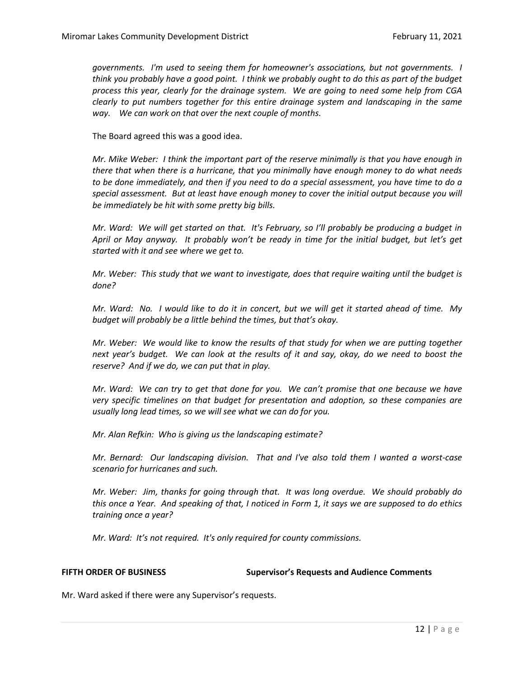*governments. I'm used to seeing them for homeowner's associations, but not governments. I think you probably have a good point. I think we probably ought to do this as part of the budget process this year, clearly for the drainage system. We are going to need some help from CGA clearly to put numbers together for this entire drainage system and landscaping in the same way. We can work on that over the next couple of months.* 

The Board agreed this was a good idea.

*Mr. Mike Weber: I think the important part of the reserve minimally is that you have enough in there that when there is a hurricane, that you minimally have enough money to do what needs to be done immediately, and then if you need to do a special assessment, you have time to do a special assessment. But at least have enough money to cover the initial output because you will be immediately be hit with some pretty big bills.* 

*Mr. Ward: We will get started on that. It's February, so I'll probably be producing a budget in April or May anyway. It probably won't be ready in time for the initial budget, but let's get started with it and see where we get to.*

*Mr. Weber: This study that we want to investigate, does that require waiting until the budget is done?*

*Mr. Ward: No. I would like to do it in concert, but we will get it started ahead of time. My budget will probably be a little behind the times, but that's okay.* 

*Mr. Weber: We would like to know the results of that study for when we are putting together next year's budget. We can look at the results of it and say, okay, do we need to boost the reserve? And if we do, we can put that in play.* 

*Mr. Ward: We can try to get that done for you. We can't promise that one because we have very specific timelines on that budget for presentation and adoption, so these companies are usually long lead times, so we will see what we can do for you.* 

*Mr. Alan Refkin: Who is giving us the landscaping estimate?*

*Mr. Bernard: Our landscaping division. That and I've also told them I wanted a worst-case scenario for hurricanes and such.* 

*Mr. Weber: Jim, thanks for going through that. It was long overdue. We should probably do this once a Year. And speaking of that, I noticed in Form 1, it says we are supposed to do ethics training once a year?*

*Mr. Ward: It's not required. It's only required for county commissions.* 

**FIFTH ORDER OF BUSINESS Supervisor's Requests and Audience Comments**

Mr. Ward asked if there were any Supervisor's requests.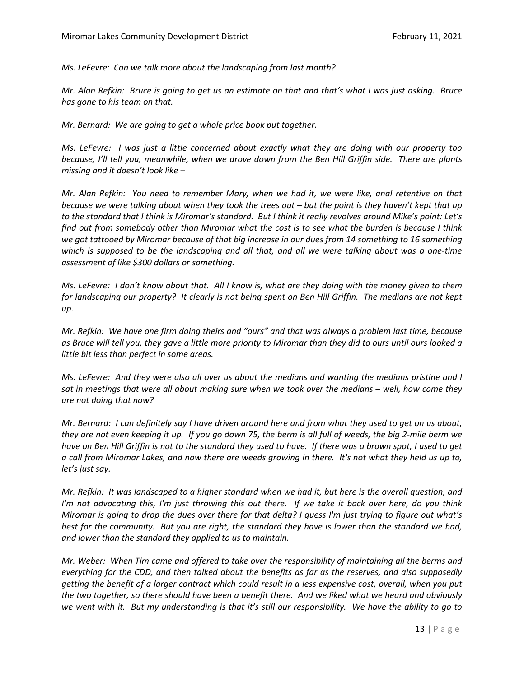*Ms. LeFevre: Can we talk more about the landscaping from last month?*

*Mr. Alan Refkin: Bruce is going to get us an estimate on that and that's what I was just asking. Bruce has gone to his team on that.* 

*Mr. Bernard: We are going to get a whole price book put together.* 

*Ms. LeFevre: I was just a little concerned about exactly what they are doing with our property too because, I'll tell you, meanwhile, when we drove down from the Ben Hill Griffin side. There are plants missing and it doesn't look like –*

*Mr. Alan Refkin: You need to remember Mary, when we had it, we were like, anal retentive on that because we were talking about when they took the trees out – but the point is they haven't kept that up to the standard that I think is Miromar's standard. But I think it really revolves around Mike's point: Let's find out from somebody other than Miromar what the cost is to see what the burden is because I think we got tattooed by Miromar because of that big increase in our dues from 14 something to 16 something which is supposed to be the landscaping and all that, and all we were talking about was a one-time assessment of like \$300 dollars or something.* 

*Ms. LeFevre: I don't know about that. All I know is, what are they doing with the money given to them for landscaping our property? It clearly is not being spent on Ben Hill Griffin. The medians are not kept up.* 

*Mr. Refkin: We have one firm doing theirs and "ours" and that was always a problem last time, because as Bruce will tell you, they gave a little more priority to Miromar than they did to ours until ours looked a little bit less than perfect in some areas.*

*Ms. LeFevre: And they were also all over us about the medians and wanting the medians pristine and I sat in meetings that were all about making sure when we took over the medians – well, how come they are not doing that now?*

*Mr. Bernard: I can definitely say I have driven around here and from what they used to get on us about, they are not even keeping it up. If you go down 75, the berm is all full of weeds, the big 2-mile berm we have on Ben Hill Griffin is not to the standard they used to have. If there was a brown spot, I used to get a call from Miromar Lakes, and now there are weeds growing in there. It's not what they held us up to, let's just say.* 

*Mr. Refkin: It was landscaped to a higher standard when we had it, but here is the overall question, and I'm not advocating this, I'm just throwing this out there. If we take it back over here, do you think Miromar is going to drop the dues over there for that delta? I guess I'm just trying to figure out what's best for the community. But you are right, the standard they have is lower than the standard we had, and lower than the standard they applied to us to maintain.* 

*Mr. Weber: When Tim came and offered to take over the responsibility of maintaining all the berms and everything for the CDD, and then talked about the benefits as far as the reserves, and also supposedly getting the benefit of a larger contract which could result in a less expensive cost, overall, when you put the two together, so there should have been a benefit there. And we liked what we heard and obviously we went with it. But my understanding is that it's still our responsibility. We have the ability to go to*